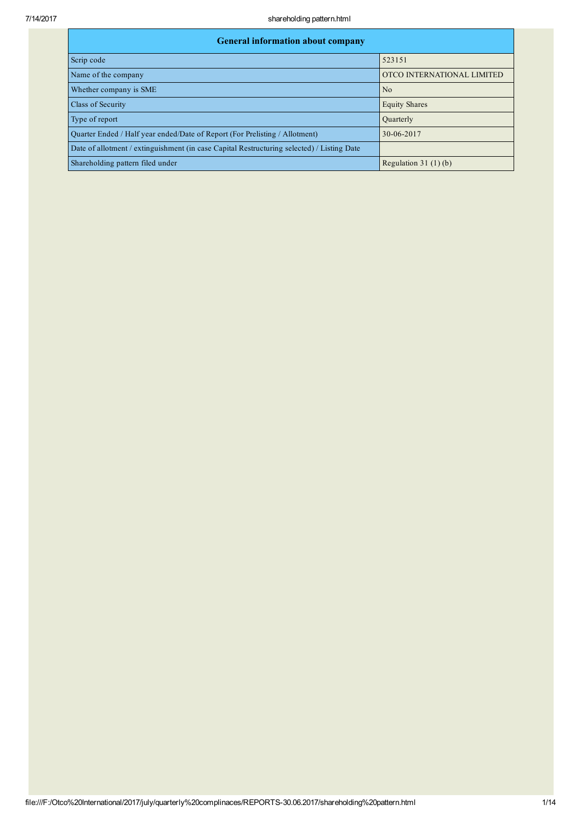| <b>General information about company</b>                                                   |                            |  |  |  |  |  |  |
|--------------------------------------------------------------------------------------------|----------------------------|--|--|--|--|--|--|
| Scrip code                                                                                 | 523151                     |  |  |  |  |  |  |
| Name of the company                                                                        | OTCO INTERNATIONAL LIMITED |  |  |  |  |  |  |
| Whether company is SME                                                                     | N <sub>0</sub>             |  |  |  |  |  |  |
| Class of Security                                                                          | <b>Equity Shares</b>       |  |  |  |  |  |  |
| Type of report                                                                             | Quarterly                  |  |  |  |  |  |  |
| Quarter Ended / Half year ended/Date of Report (For Prelisting / Allotment)                | 30-06-2017                 |  |  |  |  |  |  |
| Date of allotment / extinguishment (in case Capital Restructuring selected) / Listing Date |                            |  |  |  |  |  |  |
| Shareholding pattern filed under                                                           | Regulation $31(1)(b)$      |  |  |  |  |  |  |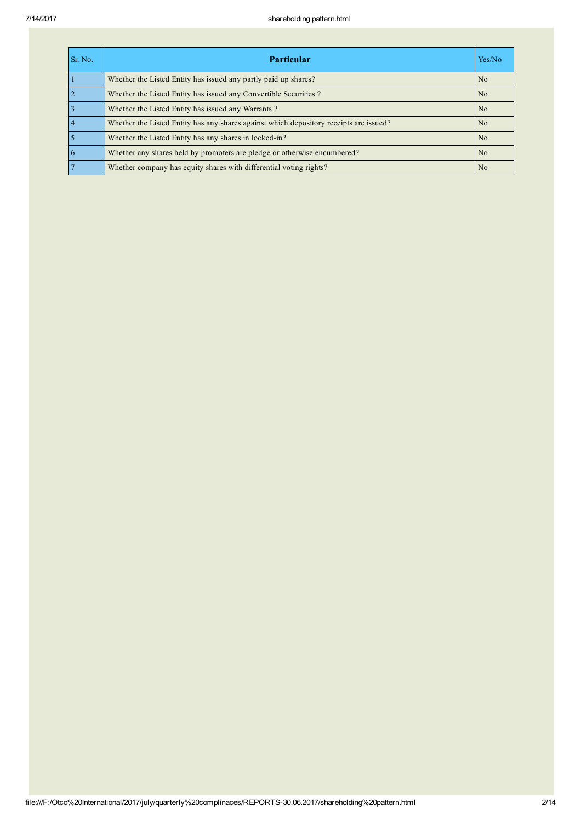| Sr. No. | Yes/No<br><b>Particular</b>                                                            |                |  |  |  |  |  |
|---------|----------------------------------------------------------------------------------------|----------------|--|--|--|--|--|
|         | Whether the Listed Entity has issued any partly paid up shares?                        | N <sub>0</sub> |  |  |  |  |  |
|         | Whether the Listed Entity has issued any Convertible Securities?                       | N <sub>o</sub> |  |  |  |  |  |
|         | Whether the Listed Entity has issued any Warrants?                                     | N <sub>0</sub> |  |  |  |  |  |
|         | Whether the Listed Entity has any shares against which depository receipts are issued? | N <sub>0</sub> |  |  |  |  |  |
|         | Whether the Listed Entity has any shares in locked-in?                                 | N <sub>o</sub> |  |  |  |  |  |
|         | Whether any shares held by promoters are pledge or otherwise encumbered?               | N <sub>0</sub> |  |  |  |  |  |
|         | Whether company has equity shares with differential voting rights?                     | N <sub>0</sub> |  |  |  |  |  |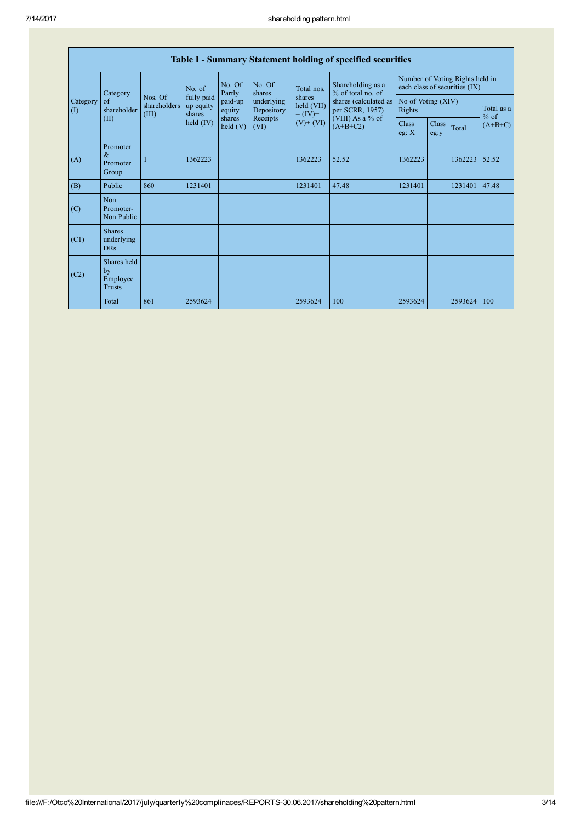|                 | Table I - Summary Statement holding of specified securities |                                  |                                   |                      |                          |                                                                  |                                                              |                                                                  |                      |         |                      |
|-----------------|-------------------------------------------------------------|----------------------------------|-----------------------------------|----------------------|--------------------------|------------------------------------------------------------------|--------------------------------------------------------------|------------------------------------------------------------------|----------------------|---------|----------------------|
|                 | Category                                                    |                                  | No. of                            | No. Of<br>Partly     | No. Of<br>shares         | Total nos.<br>shares<br>held (VII)<br>$= (IV) +$<br>$(V) + (VI)$ | Shareholding as a<br>% of total no. of                       | Number of Voting Rights held in<br>each class of securities (IX) |                      |         |                      |
| Category<br>(I) | of<br>shareholder                                           | Nos. Of<br>shareholders<br>(III) | fully paid<br>up equity<br>shares | paid-up<br>equity    | underlying<br>Depository |                                                                  | shares (calculated as<br>per SCRR, 1957)<br>(VIII) As a % of | No of Voting (XIV)<br>Rights                                     |                      |         | Total as a<br>$%$ of |
|                 | (II)                                                        |                                  | held $(IV)$                       | shares<br>held $(V)$ | Receipts<br>(VI)         |                                                                  | $(A+B+C2)$                                                   | <b>Class</b><br>eg: $X$                                          | <b>Class</b><br>eg:y | Total   | $(A+B+C)$            |
| (A)             | Promoter<br>$\alpha$<br>Promoter<br>Group                   |                                  | 1362223                           |                      |                          | 1362223                                                          | 52.52                                                        | 1362223                                                          |                      | 1362223 | 52.52                |
| (B)             | Public                                                      | 860                              | 1231401                           |                      |                          | 1231401                                                          | 47.48                                                        | 1231401                                                          |                      | 1231401 | 47.48                |
| (C)             | Non<br>Promoter-<br>Non Public                              |                                  |                                   |                      |                          |                                                                  |                                                              |                                                                  |                      |         |                      |
| (C1)            | <b>Shares</b><br>underlying<br><b>DRs</b>                   |                                  |                                   |                      |                          |                                                                  |                                                              |                                                                  |                      |         |                      |
| (C2)            | Shares held<br>by<br>Employee<br>Trusts                     |                                  |                                   |                      |                          |                                                                  |                                                              |                                                                  |                      |         |                      |
|                 | Total                                                       | 861                              | 2593624                           |                      |                          | 2593624                                                          | 100                                                          | 2593624                                                          |                      | 2593624 | 100                  |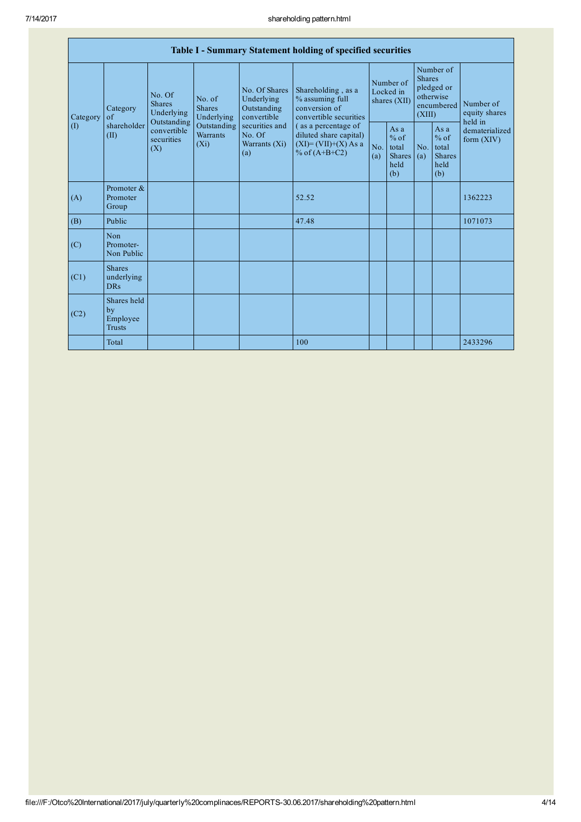| Table I - Summary Statement holding of specified securities |                                                                                                                                                                                                                                                                                                                                                                                                                                                                                                                                   |            |                                                         |            |                                                         |                                        |  |                                                                               |  |                                       |
|-------------------------------------------------------------|-----------------------------------------------------------------------------------------------------------------------------------------------------------------------------------------------------------------------------------------------------------------------------------------------------------------------------------------------------------------------------------------------------------------------------------------------------------------------------------------------------------------------------------|------------|---------------------------------------------------------|------------|---------------------------------------------------------|----------------------------------------|--|-------------------------------------------------------------------------------|--|---------------------------------------|
| Category                                                    | No. Of Shares<br>Shareholding, as a<br>No. Of<br>Underlying<br>% assuming full<br>No. of<br><b>Shares</b><br>conversion of<br><b>Shares</b><br>Outstanding<br>Category<br>Underlying<br>convertible<br>convertible securities<br>Underlying<br>$\alpha$ f<br>Outstanding<br>shareholder<br>Outstanding<br>securities and<br>(as a percentage of<br>convertible<br><b>Warrants</b><br>No. Of<br>diluted share capital)<br>(II)<br>securities<br>$(X_i)$<br>$(XI)=(VII)+(X) As a$<br>Warrants (Xi)<br>(X)<br>% of $(A+B+C2)$<br>(a) |            |                                                         |            |                                                         | Number of<br>Locked in<br>shares (XII) |  | Number of<br><b>Shares</b><br>pledged or<br>otherwise<br>encumbered<br>(XIII) |  | Number of<br>equity shares<br>held in |
| $\left( \mathrm{I}\right)$                                  |                                                                                                                                                                                                                                                                                                                                                                                                                                                                                                                                   | No.<br>(a) | As a<br>$%$ of<br>total<br><b>Shares</b><br>held<br>(b) | No.<br>(a) | As a<br>$%$ of<br>total<br><b>Shares</b><br>held<br>(b) | dematerialized<br>form $(XIV)$         |  |                                                                               |  |                                       |
| (A)                                                         | Promoter &<br>Promoter<br>Group                                                                                                                                                                                                                                                                                                                                                                                                                                                                                                   |            |                                                         |            | 52.52                                                   |                                        |  |                                                                               |  | 1362223                               |
| (B)                                                         | Public                                                                                                                                                                                                                                                                                                                                                                                                                                                                                                                            |            |                                                         |            | 47.48                                                   |                                        |  |                                                                               |  | 1071073                               |
| (C)                                                         | Non<br>Promoter-<br>Non Public                                                                                                                                                                                                                                                                                                                                                                                                                                                                                                    |            |                                                         |            |                                                         |                                        |  |                                                                               |  |                                       |
| (C1)                                                        | <b>Shares</b><br>underlying<br><b>DRs</b>                                                                                                                                                                                                                                                                                                                                                                                                                                                                                         |            |                                                         |            |                                                         |                                        |  |                                                                               |  |                                       |
| (C2)                                                        | Shares held<br>by<br>Employee<br><b>Trusts</b>                                                                                                                                                                                                                                                                                                                                                                                                                                                                                    |            |                                                         |            |                                                         |                                        |  |                                                                               |  |                                       |
|                                                             | Total                                                                                                                                                                                                                                                                                                                                                                                                                                                                                                                             |            |                                                         |            | 100                                                     |                                        |  |                                                                               |  | 2433296                               |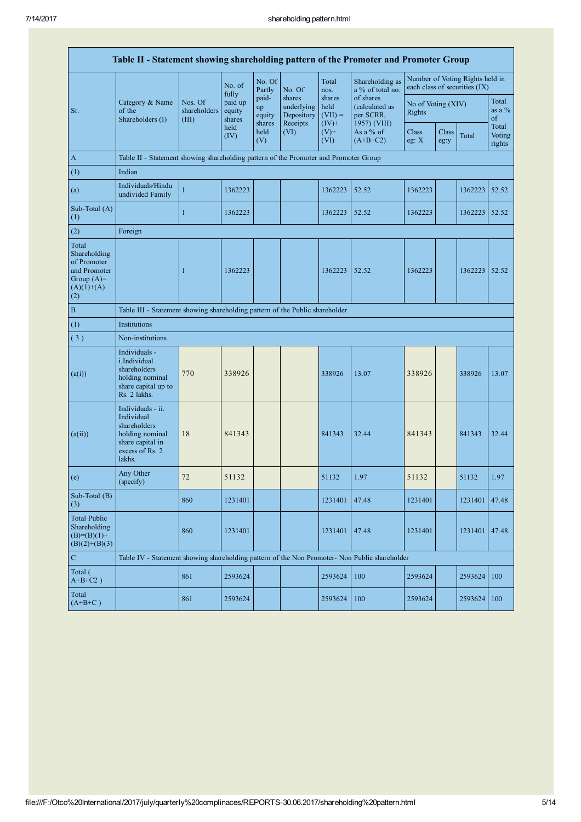|                                                                                             | Table II - Statement showing shareholding pattern of the Promoter and Promoter Group                                |                                                                                      |                             |                                 |                                                |                                         |                                                          |                                                                  |               |         |                           |  |
|---------------------------------------------------------------------------------------------|---------------------------------------------------------------------------------------------------------------------|--------------------------------------------------------------------------------------|-----------------------------|---------------------------------|------------------------------------------------|-----------------------------------------|----------------------------------------------------------|------------------------------------------------------------------|---------------|---------|---------------------------|--|
|                                                                                             |                                                                                                                     |                                                                                      | No. of<br>fully             | No. Of<br>Partly                | No. Of                                         | Total<br>nos.                           | Shareholding as<br>a % of total no.                      | Number of Voting Rights held in<br>each class of securities (IX) |               |         |                           |  |
| Sr.                                                                                         | Category & Name<br>of the<br>Shareholders (I)                                                                       | Nos. Of<br>shareholders<br>(III)                                                     | paid up<br>equity<br>shares | paid-<br>up<br>equity<br>shares | shares<br>underlying<br>Depository<br>Receipts | shares<br>held<br>$(VII) =$<br>$(IV)$ + | of shares<br>(calculated as<br>per SCRR,<br>1957) (VIII) | No of Voting (XIV)<br>Rights                                     |               |         | Total<br>as a $%$<br>of   |  |
|                                                                                             |                                                                                                                     |                                                                                      | held<br>(IV)                | held<br>(V)                     | (VI)                                           | $(V)$ +<br>(VI)                         | As a % of<br>$(A+B+C2)$                                  | Class<br>eg: $X$                                                 | Class<br>eg:y | Total   | Total<br>Voting<br>rights |  |
| $\mathbf{A}$                                                                                |                                                                                                                     | Table II - Statement showing shareholding pattern of the Promoter and Promoter Group |                             |                                 |                                                |                                         |                                                          |                                                                  |               |         |                           |  |
| (1)                                                                                         | Indian                                                                                                              |                                                                                      |                             |                                 |                                                |                                         |                                                          |                                                                  |               |         |                           |  |
| (a)                                                                                         | Individuals/Hindu<br>undivided Family                                                                               | $\mathbf{1}$                                                                         | 1362223                     |                                 |                                                | 1362223                                 | 52.52                                                    | 1362223                                                          |               | 1362223 | 52.52                     |  |
| Sub-Total (A)<br>(1)                                                                        |                                                                                                                     | $\mathbf{1}$                                                                         | 1362223                     |                                 |                                                | 1362223                                 | 52.52                                                    | 1362223                                                          |               | 1362223 | 52.52                     |  |
| (2)                                                                                         | Foreign                                                                                                             |                                                                                      |                             |                                 |                                                |                                         |                                                          |                                                                  |               |         |                           |  |
| Total<br>Shareholding<br>of Promoter<br>and Promoter<br>Group $(A)=$<br>$(A)(1)+(A)$<br>(2) |                                                                                                                     | $\mathbf{1}$                                                                         | 1362223                     |                                 |                                                | 1362223                                 | 52.52                                                    | 1362223                                                          |               | 1362223 | 52.52                     |  |
| $\bf{B}$                                                                                    | Table III - Statement showing shareholding pattern of the Public shareholder                                        |                                                                                      |                             |                                 |                                                |                                         |                                                          |                                                                  |               |         |                           |  |
| (1)                                                                                         | Institutions                                                                                                        |                                                                                      |                             |                                 |                                                |                                         |                                                          |                                                                  |               |         |                           |  |
| (3)                                                                                         | Non-institutions                                                                                                    |                                                                                      |                             |                                 |                                                |                                         |                                                          |                                                                  |               |         |                           |  |
| (a(i))                                                                                      | Individuals -<br><i>i.Individual</i><br>shareholders<br>holding nominal<br>share capital up to<br>Rs. 2 lakhs.      | 770                                                                                  | 338926                      |                                 |                                                | 338926                                  | 13.07                                                    | 338926                                                           |               | 338926  | 13.07                     |  |
| (a(ii))                                                                                     | Individuals - ii.<br>Individual<br>shareholders<br>holding nominal<br>share capital in<br>excess of Rs. 2<br>lakhs. | 18                                                                                   | 841343                      |                                 |                                                | 841343                                  | 32.44                                                    | 841343                                                           |               | 841343  | 32.44                     |  |
| (e)                                                                                         | Any Other<br>(specify)                                                                                              | 72                                                                                   | 51132                       |                                 |                                                | 51132                                   | 1.97                                                     | 51132                                                            |               | 51132   | 1.97                      |  |
| Sub-Total (B)<br>(3)                                                                        |                                                                                                                     | 860                                                                                  | 1231401                     |                                 |                                                | 1231401                                 | 47.48                                                    | 1231401                                                          |               | 1231401 | 47.48                     |  |
| <b>Total Public</b><br>Shareholding<br>$(B)=(B)(1)+$<br>$(B)(2)+(B)(3)$                     |                                                                                                                     | 860                                                                                  | 1231401                     |                                 |                                                | 1231401                                 | 47.48                                                    | 1231401                                                          |               | 1231401 | 47.48                     |  |
| $\mathbf C$                                                                                 | Table IV - Statement showing shareholding pattern of the Non Promoter- Non Public shareholder                       |                                                                                      |                             |                                 |                                                |                                         |                                                          |                                                                  |               |         |                           |  |
| Total (<br>$A+B+C2$ )                                                                       |                                                                                                                     | 861                                                                                  | 2593624                     |                                 |                                                | 2593624                                 | 100                                                      | 2593624                                                          |               | 2593624 | 100                       |  |
| Total<br>$(A+B+C)$                                                                          |                                                                                                                     | 861                                                                                  | 2593624                     |                                 |                                                | 2593624                                 | 100                                                      | 2593624                                                          |               | 2593624 | 100                       |  |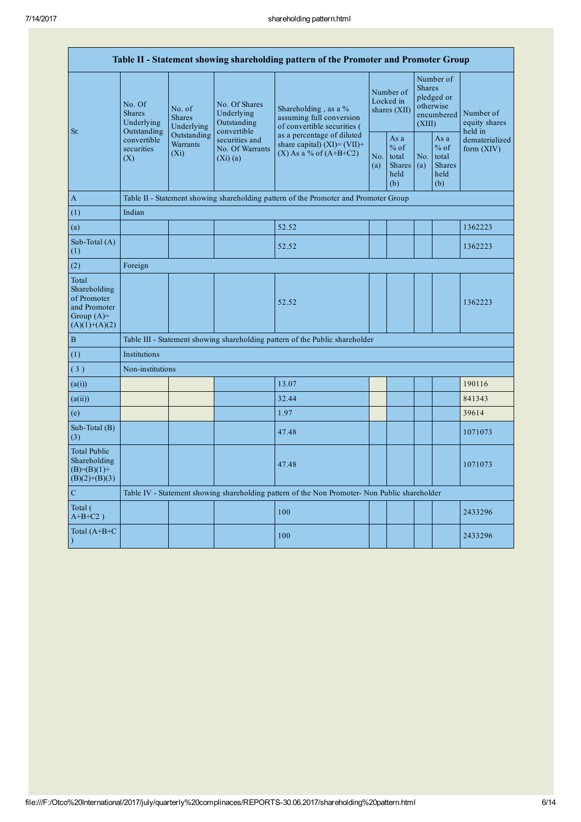| Table II - Statement showing shareholding pattern of the Promoter and Promoter Group    |                                                                                                                                |                                |                                                           |                                                                                               |  |                                                         |                                                                               |                                                         |                                                                         |
|-----------------------------------------------------------------------------------------|--------------------------------------------------------------------------------------------------------------------------------|--------------------------------|-----------------------------------------------------------|-----------------------------------------------------------------------------------------------|--|---------------------------------------------------------|-------------------------------------------------------------------------------|---------------------------------------------------------|-------------------------------------------------------------------------|
| Sr.                                                                                     | No. Of<br>No. of<br><b>Shares</b><br><b>Shares</b><br>Underlying<br>Outstanding<br>convertible<br>securities<br>$(X_i)$<br>(X) | Underlying                     | No. Of Shares<br>Underlying<br>Outstanding<br>convertible | Shareholding, as a %<br>assuming full conversion<br>of convertible securities (               |  | Number of<br>Locked in<br>shares $(XII)$                | Number of<br><b>Shares</b><br>pledged or<br>otherwise<br>encumbered<br>(XIII) |                                                         | Number of<br>equity shares<br>held in<br>dematerialized<br>form $(XIV)$ |
|                                                                                         |                                                                                                                                | Outstanding<br><b>Warrants</b> | securities and<br>No. Of Warrants<br>$(Xi)$ (a)           | as a percentage of diluted<br>share capital) $(XI) = (VII) +$<br>$(X)$ As a % of $(A+B+C2)$   |  | As a<br>$%$ of<br>total<br><b>Shares</b><br>held<br>(b) | No.<br>(a)                                                                    | As a<br>$%$ of<br>total<br><b>Shares</b><br>held<br>(b) |                                                                         |
| $\mathbf{A}$                                                                            |                                                                                                                                |                                |                                                           | Table II - Statement showing shareholding pattern of the Promoter and Promoter Group          |  |                                                         |                                                                               |                                                         |                                                                         |
| (1)                                                                                     | Indian                                                                                                                         |                                |                                                           |                                                                                               |  |                                                         |                                                                               |                                                         |                                                                         |
| (a)                                                                                     |                                                                                                                                |                                |                                                           | 52.52                                                                                         |  |                                                         |                                                                               |                                                         | 1362223                                                                 |
| Sub-Total (A)<br>(1)                                                                    |                                                                                                                                |                                |                                                           | 52.52                                                                                         |  |                                                         |                                                                               |                                                         | 1362223                                                                 |
| (2)                                                                                     | Foreign                                                                                                                        |                                |                                                           |                                                                                               |  |                                                         |                                                                               |                                                         |                                                                         |
| Total<br>Shareholding<br>of Promoter<br>and Promoter<br>Group $(A)=$<br>$(A)(1)+(A)(2)$ |                                                                                                                                |                                |                                                           | 52.52                                                                                         |  |                                                         |                                                                               |                                                         | 1362223                                                                 |
| $\mathbf B$                                                                             |                                                                                                                                |                                |                                                           | Table III - Statement showing shareholding pattern of the Public shareholder                  |  |                                                         |                                                                               |                                                         |                                                                         |
| (1)                                                                                     | Institutions                                                                                                                   |                                |                                                           |                                                                                               |  |                                                         |                                                                               |                                                         |                                                                         |
| (3)                                                                                     | Non-institutions                                                                                                               |                                |                                                           |                                                                                               |  |                                                         |                                                                               |                                                         |                                                                         |
| (a(i))                                                                                  |                                                                                                                                |                                |                                                           | 13.07                                                                                         |  |                                                         |                                                                               |                                                         | 190116                                                                  |
| (a(ii))                                                                                 |                                                                                                                                |                                |                                                           | 32.44                                                                                         |  |                                                         |                                                                               |                                                         | 841343                                                                  |
| (e)                                                                                     |                                                                                                                                |                                |                                                           | 1.97                                                                                          |  |                                                         |                                                                               |                                                         | 39614                                                                   |
| Sub-Total (B)<br>(3)                                                                    |                                                                                                                                |                                |                                                           | 47.48                                                                                         |  |                                                         |                                                                               |                                                         | 1071073                                                                 |
| <b>Total Public</b><br>Shareholding<br>$(B)= (B)(1) +$<br>$(B)(2)+(B)(3)$               |                                                                                                                                |                                |                                                           | 47.48                                                                                         |  |                                                         |                                                                               |                                                         | 1071073                                                                 |
| $\mathcal{C}$                                                                           |                                                                                                                                |                                |                                                           | Table IV - Statement showing shareholding pattern of the Non Promoter- Non Public shareholder |  |                                                         |                                                                               |                                                         |                                                                         |
| Total (<br>$A+B+C2$ )                                                                   |                                                                                                                                |                                |                                                           | 100                                                                                           |  |                                                         |                                                                               |                                                         | 2433296                                                                 |
| Total $(A+B+C)$<br>$\lambda$                                                            |                                                                                                                                |                                |                                                           | 100                                                                                           |  |                                                         |                                                                               |                                                         | 2433296                                                                 |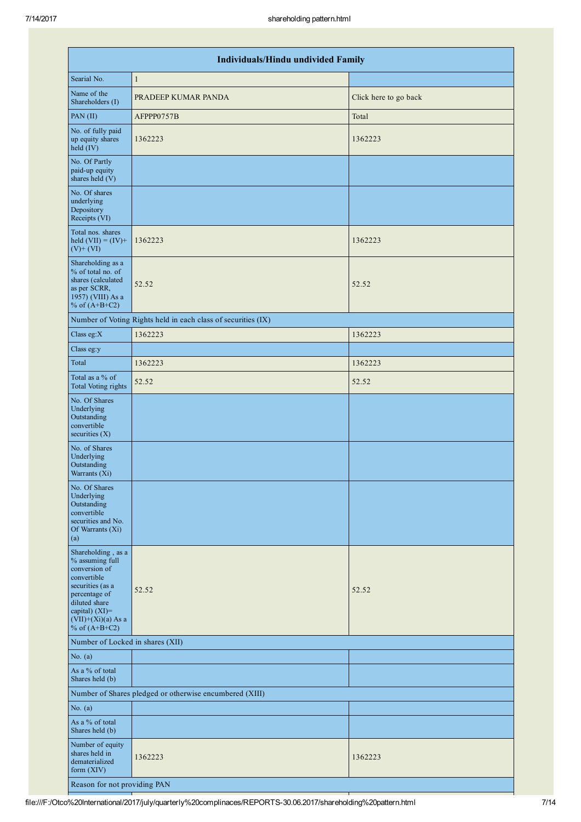|                                                                                                                                                                                          | Individuals/Hindu undivided Family                            |                       |  |  |  |  |  |  |  |  |
|------------------------------------------------------------------------------------------------------------------------------------------------------------------------------------------|---------------------------------------------------------------|-----------------------|--|--|--|--|--|--|--|--|
| Searial No.                                                                                                                                                                              | $\mathbf{1}$                                                  |                       |  |  |  |  |  |  |  |  |
| Name of the<br>Shareholders (I)                                                                                                                                                          | PRADEEP KUMAR PANDA                                           | Click here to go back |  |  |  |  |  |  |  |  |
| PAN(II)                                                                                                                                                                                  | AFPPP0757B                                                    | Total                 |  |  |  |  |  |  |  |  |
| No. of fully paid<br>up equity shares<br>held (IV)                                                                                                                                       | 1362223                                                       | 1362223               |  |  |  |  |  |  |  |  |
| No. Of Partly<br>paid-up equity<br>shares held (V)                                                                                                                                       |                                                               |                       |  |  |  |  |  |  |  |  |
| No. Of shares<br>underlying<br>Depository<br>Receipts (VI)                                                                                                                               |                                                               |                       |  |  |  |  |  |  |  |  |
| Total nos. shares<br>held $(VII) = (IV) +$<br>$(V)$ + $(VI)$                                                                                                                             | 1362223                                                       | 1362223               |  |  |  |  |  |  |  |  |
| Shareholding as a<br>% of total no. of<br>shares (calculated<br>as per SCRR,<br>1957) (VIII) As a<br>% of $(A+B+C2)$                                                                     | 52.52                                                         | 52.52                 |  |  |  |  |  |  |  |  |
|                                                                                                                                                                                          | Number of Voting Rights held in each class of securities (IX) |                       |  |  |  |  |  |  |  |  |
| Class eg: $X$                                                                                                                                                                            | 1362223                                                       | 1362223               |  |  |  |  |  |  |  |  |
| Class eg:y                                                                                                                                                                               |                                                               |                       |  |  |  |  |  |  |  |  |
| Total                                                                                                                                                                                    | 1362223                                                       | 1362223               |  |  |  |  |  |  |  |  |
| Total as a % of<br><b>Total Voting rights</b>                                                                                                                                            | 52.52                                                         | 52.52                 |  |  |  |  |  |  |  |  |
| No. Of Shares<br>Underlying<br>Outstanding<br>convertible<br>securities $(X)$                                                                                                            |                                                               |                       |  |  |  |  |  |  |  |  |
| No. of Shares<br>Underlying<br>Outstanding<br>Warrants (Xi)                                                                                                                              |                                                               |                       |  |  |  |  |  |  |  |  |
| No. Of Shares<br>Underlying<br>Outstanding<br>convertible<br>securities and No.<br>Of Warrants (Xi)<br>(a)                                                                               |                                                               |                       |  |  |  |  |  |  |  |  |
| Shareholding, as a<br>% assuming full<br>conversion of<br>convertible<br>securities (as a<br>percentage of<br>diluted share<br>capital) (XI)=<br>$(VII)+(Xi)(a)$ As a<br>% of $(A+B+C2)$ | 52.52                                                         | 52.52                 |  |  |  |  |  |  |  |  |
| Number of Locked in shares (XII)                                                                                                                                                         |                                                               |                       |  |  |  |  |  |  |  |  |
| No. $(a)$                                                                                                                                                                                |                                                               |                       |  |  |  |  |  |  |  |  |
| As a % of total<br>Shares held (b)                                                                                                                                                       |                                                               |                       |  |  |  |  |  |  |  |  |
|                                                                                                                                                                                          | Number of Shares pledged or otherwise encumbered (XIII)       |                       |  |  |  |  |  |  |  |  |
| No. $(a)$                                                                                                                                                                                |                                                               |                       |  |  |  |  |  |  |  |  |
| As a % of total<br>Shares held (b)                                                                                                                                                       |                                                               |                       |  |  |  |  |  |  |  |  |
| Number of equity<br>shares held in<br>dematerialized<br>form (XIV)                                                                                                                       | 1362223                                                       | 1362223               |  |  |  |  |  |  |  |  |
| Reason for not providing PAN                                                                                                                                                             |                                                               |                       |  |  |  |  |  |  |  |  |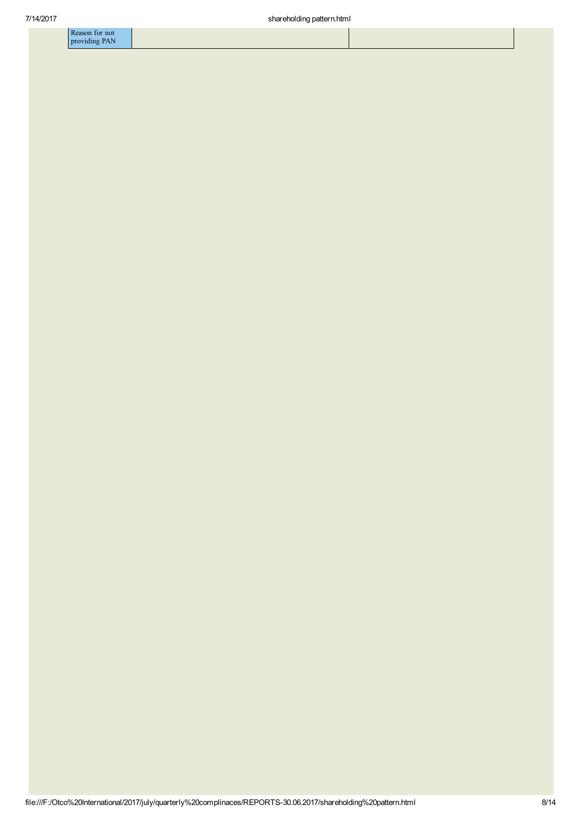| Reason for not |
|----------------|
|                |
| providing PAN  |
|                |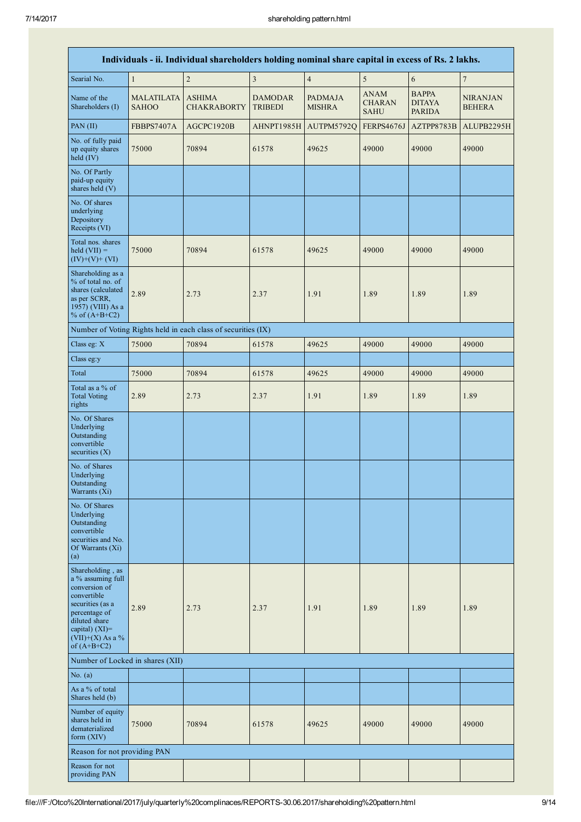|                                                                                                                                                                                       |                                   | Individuals - ii. Individual shareholders holding nominal share capital in excess of Rs. 2 lakhs. |                                  |                                 |                                             |                                                |                                  |
|---------------------------------------------------------------------------------------------------------------------------------------------------------------------------------------|-----------------------------------|---------------------------------------------------------------------------------------------------|----------------------------------|---------------------------------|---------------------------------------------|------------------------------------------------|----------------------------------|
| Searial No.                                                                                                                                                                           | $\mathbf{1}$                      | $\overline{c}$                                                                                    | $\overline{\mathbf{3}}$          | $\sqrt{4}$                      | 5                                           | $\sqrt{6}$                                     | $\boldsymbol{7}$                 |
| Name of the<br>Shareholders (I)                                                                                                                                                       | <b>MALATILATA</b><br><b>SAHOO</b> | <b>ASHIMA</b><br><b>CHAKRABORTY</b>                                                               | <b>DAMODAR</b><br><b>TRIBEDI</b> | <b>PADMAJA</b><br><b>MISHRA</b> | <b>ANAM</b><br><b>CHARAN</b><br><b>SAHU</b> | <b>BAPPA</b><br><b>DITAYA</b><br><b>PARIDA</b> | <b>NIRANJAN</b><br><b>BEHERA</b> |
| PAN(II)                                                                                                                                                                               | FBBPS7407A                        | AGCPC1920B                                                                                        | AHNPT1985H                       | AUTPM5792Q                      | FERPS4676J                                  | AZTPP8783B                                     | ALUPB2295H                       |
| No. of fully paid<br>up equity shares<br>held $(IV)$                                                                                                                                  | 75000                             | 70894                                                                                             | 61578                            | 49625                           | 49000                                       | 49000                                          | 49000                            |
| No. Of Partly<br>paid-up equity<br>shares held (V)                                                                                                                                    |                                   |                                                                                                   |                                  |                                 |                                             |                                                |                                  |
| No. Of shares<br>underlying<br>Depository<br>Receipts (VI)                                                                                                                            |                                   |                                                                                                   |                                  |                                 |                                             |                                                |                                  |
| Total nos. shares<br>held $(VII) =$<br>$(IV)+(V)+(VI)$                                                                                                                                | 75000                             | 70894                                                                                             | 61578                            | 49625                           | 49000                                       | 49000                                          | 49000                            |
| Shareholding as a<br>% of total no. of<br>shares (calculated<br>as per SCRR,<br>1957) (VIII) As a<br>% of $(A+B+C2)$                                                                  | 2.89                              | 2.73                                                                                              | 2.37                             | 1.91                            | 1.89                                        | 1.89                                           | 1.89                             |
|                                                                                                                                                                                       |                                   | Number of Voting Rights held in each class of securities (IX)                                     |                                  |                                 |                                             |                                                |                                  |
| Class eg: X                                                                                                                                                                           | 75000                             | 70894                                                                                             | 61578                            | 49625                           | 49000                                       | 49000                                          | 49000                            |
| Class eg:y                                                                                                                                                                            |                                   |                                                                                                   |                                  |                                 |                                             |                                                |                                  |
| Total                                                                                                                                                                                 | 75000                             | 70894                                                                                             | 61578                            | 49625                           | 49000                                       | 49000                                          | 49000                            |
| Total as a % of<br><b>Total Voting</b><br>rights                                                                                                                                      | 2.89                              | 2.73                                                                                              | 2.37                             | 1.91                            | 1.89                                        | 1.89                                           | 1.89                             |
| No. Of Shares<br>Underlying<br>Outstanding<br>convertible<br>securities (X)                                                                                                           |                                   |                                                                                                   |                                  |                                 |                                             |                                                |                                  |
| No. of Shares<br>Underlying<br>Outstanding<br>Warrants (Xi)                                                                                                                           |                                   |                                                                                                   |                                  |                                 |                                             |                                                |                                  |
| No. Of Shares<br>Underlying<br>Outstanding<br>convertible<br>securities and No.<br>Of Warrants (Xi)<br>$\left( a\right)$                                                              |                                   |                                                                                                   |                                  |                                 |                                             |                                                |                                  |
| Shareholding, as<br>a % assuming full<br>conversion of<br>convertible<br>securities (as a<br>percentage of<br>diluted share<br>capital) $(XI)$ =<br>(VII)+(X) As a %<br>of $(A+B+C2)$ | 2.89                              | 2.73                                                                                              | 2.37                             | 1.91                            | 1.89                                        | 1.89                                           | 1.89                             |
| Number of Locked in shares (XII)                                                                                                                                                      |                                   |                                                                                                   |                                  |                                 |                                             |                                                |                                  |
| No. $(a)$                                                                                                                                                                             |                                   |                                                                                                   |                                  |                                 |                                             |                                                |                                  |
| As a % of total<br>Shares held (b)                                                                                                                                                    |                                   |                                                                                                   |                                  |                                 |                                             |                                                |                                  |
| Number of equity<br>shares held in<br>dematerialized<br>form $(XIV)$                                                                                                                  | 75000                             | 70894                                                                                             | 61578                            | 49625                           | 49000                                       | 49000                                          | 49000                            |
| Reason for not providing PAN                                                                                                                                                          |                                   |                                                                                                   |                                  |                                 |                                             |                                                |                                  |
| Reason for not<br>providing PAN                                                                                                                                                       |                                   |                                                                                                   |                                  |                                 |                                             |                                                |                                  |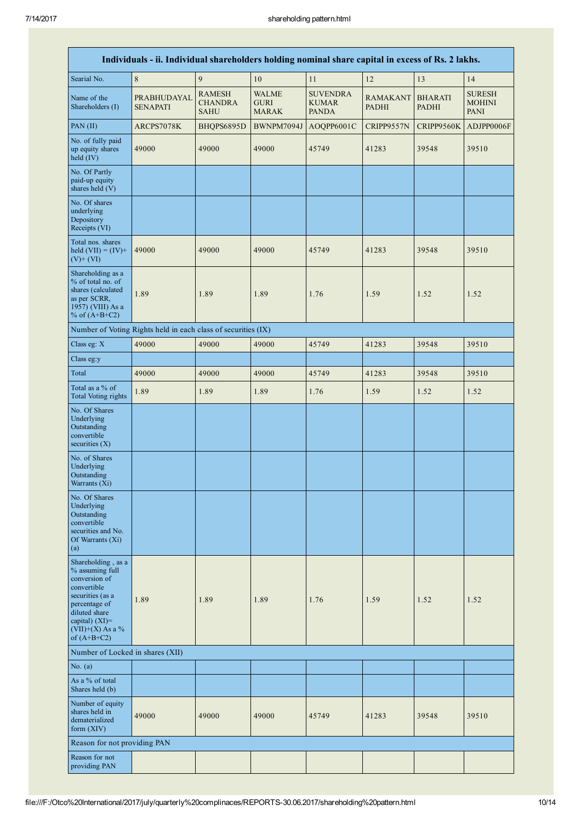| Individuals - ii. Individual shareholders holding nominal share capital in excess of Rs. 2 lakhs.                                                                                       |                                                               |                                                |                                             |                                                 |                                 |                                |                                               |  |  |
|-----------------------------------------------------------------------------------------------------------------------------------------------------------------------------------------|---------------------------------------------------------------|------------------------------------------------|---------------------------------------------|-------------------------------------------------|---------------------------------|--------------------------------|-----------------------------------------------|--|--|
| Searial No.                                                                                                                                                                             | $\,8\,$                                                       | $\overline{9}$                                 | 10                                          | 11                                              | 12                              | 13                             | 14                                            |  |  |
| Name of the<br>Shareholders (I)                                                                                                                                                         | PRABHUDAYAL<br><b>SENAPATI</b>                                | <b>RAMESH</b><br><b>CHANDRA</b><br><b>SAHU</b> | <b>WALME</b><br><b>GURI</b><br><b>MARAK</b> | <b>SUVENDRA</b><br><b>KUMAR</b><br><b>PANDA</b> | <b>RAMAKANT</b><br><b>PADHI</b> | <b>BHARATI</b><br><b>PADHI</b> | <b>SURESH</b><br><b>MOHINI</b><br><b>PANI</b> |  |  |
| PAN (II)                                                                                                                                                                                | ARCPS7078K                                                    | BHQPS6895D                                     | BWNPM7094J                                  | AOQPP6001C                                      | CRIPP9557N                      | CRIPP9560K                     | ADJPP0006F                                    |  |  |
| No. of fully paid<br>up equity shares<br>held $(IV)$                                                                                                                                    | 49000                                                         | 49000                                          | 49000                                       | 45749                                           | 41283                           | 39548                          | 39510                                         |  |  |
| No. Of Partly<br>paid-up equity<br>shares held (V)                                                                                                                                      |                                                               |                                                |                                             |                                                 |                                 |                                |                                               |  |  |
| No. Of shares<br>underlying<br>Depository<br>Receipts (VI)                                                                                                                              |                                                               |                                                |                                             |                                                 |                                 |                                |                                               |  |  |
| Total nos. shares<br>held $(VII) = (IV) +$<br>$(V)$ + $(VI)$                                                                                                                            | 49000                                                         | 49000                                          | 49000                                       | 45749                                           | 41283                           | 39548                          | 39510                                         |  |  |
| Shareholding as a<br>% of total no. of<br>shares (calculated<br>as per SCRR,<br>1957) (VIII) As a<br>% of $(A+B+C2)$                                                                    | 1.89                                                          | 1.89                                           | 1.89                                        | 1.76                                            | 1.59                            | 1.52                           | 1.52                                          |  |  |
|                                                                                                                                                                                         | Number of Voting Rights held in each class of securities (IX) |                                                |                                             |                                                 |                                 |                                |                                               |  |  |
| Class eg: X                                                                                                                                                                             | 49000                                                         | 49000                                          | 49000                                       | 45749                                           | 41283                           | 39548                          | 39510                                         |  |  |
| Class eg:y                                                                                                                                                                              |                                                               |                                                |                                             |                                                 |                                 |                                |                                               |  |  |
| Total                                                                                                                                                                                   | 49000                                                         | 49000                                          | 49000                                       | 45749                                           | 41283                           | 39548                          | 39510                                         |  |  |
| Total as a % of<br><b>Total Voting rights</b>                                                                                                                                           | 1.89                                                          | 1.89                                           | 1.89                                        | 1.76                                            | 1.59                            | 1.52                           | 1.52                                          |  |  |
| No. Of Shares<br>Underlying<br>Outstanding<br>convertible<br>securities $(X)$                                                                                                           |                                                               |                                                |                                             |                                                 |                                 |                                |                                               |  |  |
| No. of Shares<br>Underlying<br>Outstanding<br>Warrants (Xi)                                                                                                                             |                                                               |                                                |                                             |                                                 |                                 |                                |                                               |  |  |
| No. Of Shares<br>Underlying<br>Outstanding<br>convertible<br>securities and No.<br>Of Warrants (Xi)<br>(a)                                                                              |                                                               |                                                |                                             |                                                 |                                 |                                |                                               |  |  |
| Shareholding, as a<br>% assuming full<br>conversion of<br>convertible<br>securities (as a<br>percentage of<br>diluted share<br>capital) $(XI)$ =<br>$(VII)+(X)$ As a %<br>of $(A+B+C2)$ | 1.89                                                          | 1.89                                           | 1.89                                        | 1.76                                            | 1.59                            | 1.52                           | 1.52                                          |  |  |
| Number of Locked in shares (XII)                                                                                                                                                        |                                                               |                                                |                                             |                                                 |                                 |                                |                                               |  |  |
| No. $(a)$                                                                                                                                                                               |                                                               |                                                |                                             |                                                 |                                 |                                |                                               |  |  |
| As a % of total<br>Shares held (b)                                                                                                                                                      |                                                               |                                                |                                             |                                                 |                                 |                                |                                               |  |  |
| Number of equity<br>shares held in<br>dematerialized<br>form $(XIV)$                                                                                                                    | 49000                                                         | 49000                                          | 49000                                       | 45749                                           | 41283                           | 39548                          | 39510                                         |  |  |
| Reason for not providing PAN                                                                                                                                                            |                                                               |                                                |                                             |                                                 |                                 |                                |                                               |  |  |
| Reason for not<br>providing PAN                                                                                                                                                         |                                                               |                                                |                                             |                                                 |                                 |                                |                                               |  |  |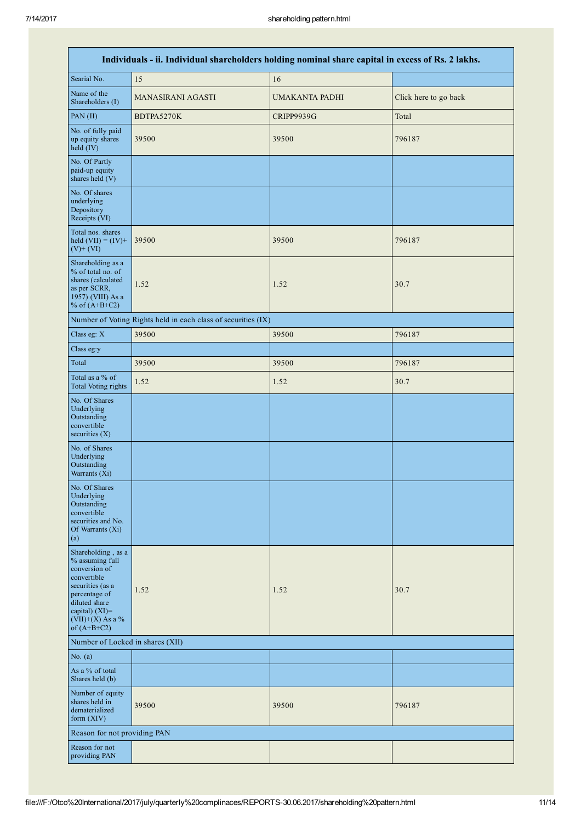|                                                                                                                                                                                         | Individuals - ii. Individual shareholders holding nominal share capital in excess of Rs. 2 lakhs. |                |                       |
|-----------------------------------------------------------------------------------------------------------------------------------------------------------------------------------------|---------------------------------------------------------------------------------------------------|----------------|-----------------------|
| Searial No.                                                                                                                                                                             | 15                                                                                                | 16             |                       |
| Name of the<br>Shareholders (I)                                                                                                                                                         | <b>MANASIRANI AGASTI</b>                                                                          | UMAKANTA PADHI | Click here to go back |
| PAN (II)                                                                                                                                                                                | BDTPA5270K                                                                                        | CRIPP9939G     | Total                 |
| No. of fully paid<br>up equity shares<br>held (IV)                                                                                                                                      | 39500                                                                                             | 39500          | 796187                |
| No. Of Partly<br>paid-up equity<br>shares held (V)                                                                                                                                      |                                                                                                   |                |                       |
| No. Of shares<br>underlying<br>Depository<br>Receipts (VI)                                                                                                                              |                                                                                                   |                |                       |
| Total nos. shares<br>held $(VII) = (IV) +$<br>$(V)$ + $(VI)$                                                                                                                            | 39500                                                                                             | 39500          | 796187                |
| Shareholding as a<br>% of total no. of<br>shares (calculated<br>as per SCRR,<br>1957) (VIII) As a<br>% of $(A+B+C2)$                                                                    | 1.52                                                                                              | 1.52           | 30.7                  |
|                                                                                                                                                                                         | Number of Voting Rights held in each class of securities (IX)                                     |                |                       |
| Class eg: X                                                                                                                                                                             | 39500                                                                                             | 39500          | 796187                |
| Class eg:y                                                                                                                                                                              |                                                                                                   |                |                       |
| Total                                                                                                                                                                                   | 39500                                                                                             | 39500          | 796187                |
| Total as a % of<br><b>Total Voting rights</b>                                                                                                                                           | 1.52                                                                                              | 1.52           | 30.7                  |
| No. Of Shares<br>Underlying<br>Outstanding<br>convertible<br>securities $(X)$                                                                                                           |                                                                                                   |                |                       |
| No. of Shares<br>Underlying<br>Outstanding<br>Warrants (Xi)                                                                                                                             |                                                                                                   |                |                       |
| No. Of Shares<br>Underlying<br>Outstanding<br>convertible<br>securities and No.<br>Of Warrants (Xi)<br>(a)                                                                              |                                                                                                   |                |                       |
| Shareholding, as a<br>% assuming full<br>conversion of<br>convertible<br>securities (as a<br>percentage of<br>diluted share<br>capital) $(XI)$ =<br>$(VII)+(X)$ As a %<br>of $(A+B+C2)$ | 1.52                                                                                              | 1.52           | 30.7                  |
| Number of Locked in shares (XII)                                                                                                                                                        |                                                                                                   |                |                       |
| No. $(a)$                                                                                                                                                                               |                                                                                                   |                |                       |
| As a % of total<br>Shares held (b)                                                                                                                                                      |                                                                                                   |                |                       |
| Number of equity<br>shares held in<br>dematerialized<br>form (XIV)                                                                                                                      | 39500                                                                                             | 39500          | 796187                |
| Reason for not providing PAN                                                                                                                                                            |                                                                                                   |                |                       |
| Reason for not<br>providing PAN                                                                                                                                                         |                                                                                                   |                |                       |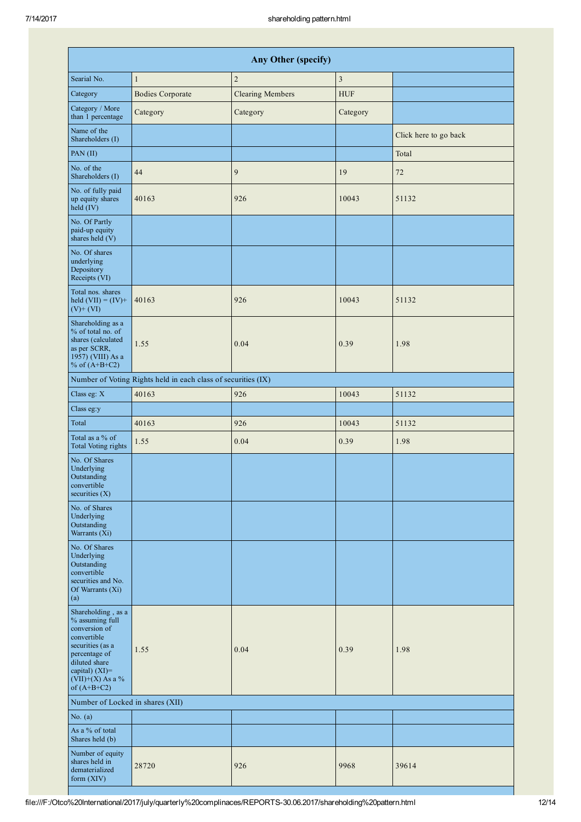|                                                                                                                                                                                         |                                                               | <b>Any Other (specify)</b> |               |                       |
|-----------------------------------------------------------------------------------------------------------------------------------------------------------------------------------------|---------------------------------------------------------------|----------------------------|---------------|-----------------------|
| Searial No.                                                                                                                                                                             | $\mathbf{1}$                                                  | $\sqrt{2}$                 | $\mathfrak z$ |                       |
| Category                                                                                                                                                                                | <b>Bodies Corporate</b>                                       | <b>Clearing Members</b>    | <b>HUF</b>    |                       |
| Category / More<br>than 1 percentage                                                                                                                                                    | Category                                                      | Category                   | Category      |                       |
| Name of the<br>Shareholders (I)                                                                                                                                                         |                                                               |                            |               | Click here to go back |
| PAN (II)                                                                                                                                                                                |                                                               |                            |               | Total                 |
| No. of the<br>Shareholders (I)                                                                                                                                                          | 44                                                            | 9                          | 19            | $72\,$                |
| No. of fully paid<br>up equity shares<br>held (IV)                                                                                                                                      | 40163                                                         | 926                        | 10043         | 51132                 |
| No. Of Partly<br>paid-up equity<br>shares held (V)                                                                                                                                      |                                                               |                            |               |                       |
| No. Of shares<br>underlying<br>Depository<br>Receipts (VI)                                                                                                                              |                                                               |                            |               |                       |
| Total nos. shares<br>held $(VII) = (IV) +$<br>$(V)$ + $(VI)$                                                                                                                            | 40163                                                         | 926                        | 10043         | 51132                 |
| Shareholding as a<br>% of total no. of<br>shares (calculated<br>as per SCRR,<br>1957) (VIII) As a<br>% of $(A+B+C2)$                                                                    | 1.55                                                          | 0.04                       | 0.39          | 1.98                  |
|                                                                                                                                                                                         | Number of Voting Rights held in each class of securities (IX) |                            |               |                       |
| Class eg: X                                                                                                                                                                             | 40163                                                         | 926                        | 10043         | 51132                 |
| Class eg:y                                                                                                                                                                              |                                                               |                            |               |                       |
| Total                                                                                                                                                                                   | 40163                                                         | 926                        | 10043         | 51132                 |
| Total as a % of<br><b>Total Voting rights</b>                                                                                                                                           | 1.55                                                          | 0.04                       | 0.39          | 1.98                  |
| No. Of Shares<br>Underlying<br>Outstanding<br>convertible<br>securities $(X)$                                                                                                           |                                                               |                            |               |                       |
| No. of Shares<br>Underlying<br>Outstanding<br>Warrants (Xi)                                                                                                                             |                                                               |                            |               |                       |
| No. Of Shares<br>Underlying<br>Outstanding<br>convertible<br>securities and No.<br>Of Warrants (Xi)<br>(a)                                                                              |                                                               |                            |               |                       |
| Shareholding, as a<br>% assuming full<br>conversion of<br>convertible<br>securities (as a<br>percentage of<br>diluted share<br>capital) $(XI)$ =<br>$(VII)+(X)$ As a %<br>of $(A+B+C2)$ | 1.55                                                          | 0.04                       | 0.39          | 1.98                  |
| Number of Locked in shares (XII)                                                                                                                                                        |                                                               |                            |               |                       |
| No. $(a)$                                                                                                                                                                               |                                                               |                            |               |                       |
| As a % of total<br>Shares held (b)                                                                                                                                                      |                                                               |                            |               |                       |
| Number of equity<br>shares held in<br>dematerialized<br>form (XIV)                                                                                                                      | 28720                                                         | 926                        | 9968          | 39614                 |